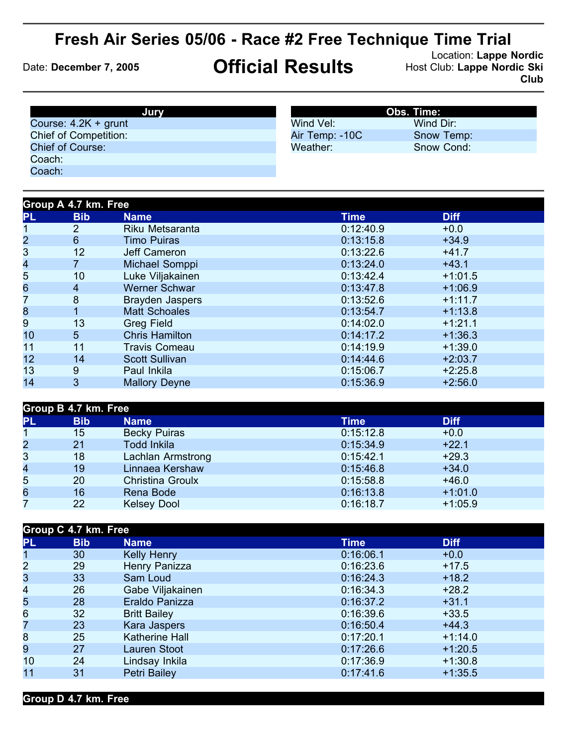## **Fresh Air Series 05/06 - Race #2 Free Technique Time Trial**

Location: Lappe Nordic<br>Date: December 7, 2005 **Chricial Results** Host Club: Lappe Nordic Ski **Club**

| Jury                         |                | <b>Obs. Time:</b> |
|------------------------------|----------------|-------------------|
| Course: $4.2K +$ grunt       | Wind Vel:      | Wind Dir:         |
| <b>Chief of Competition:</b> | Air Temp: -10C | Snow Temp:        |
| <b>Chief of Course:</b>      | Weather:       | Snow Cond:        |
| Coach:                       |                |                   |
| Coach:                       |                |                   |

| Group A 4.7 km. Free |                        |             |             |  |
|----------------------|------------------------|-------------|-------------|--|
| <b>Bib</b>           | <b>Name</b>            | <b>Time</b> | <b>Diff</b> |  |
| $\overline{2}$       | Riku Metsaranta        | 0:12:40.9   | $+0.0$      |  |
| $6\phantom{1}$       | <b>Timo Puiras</b>     | 0:13:15.8   | $+34.9$     |  |
| 12                   | Jeff Cameron           | 0:13:22.6   | $+41.7$     |  |
|                      | Michael Somppi         | 0:13:24.0   | $+43.1$     |  |
| 10                   | Luke Viljakainen       | 0:13:42.4   | $+1:01.5$   |  |
| $\overline{4}$       | <b>Werner Schwar</b>   | 0:13:47.8   | $+1:06.9$   |  |
| 8                    | <b>Brayden Jaspers</b> | 0:13:52.6   | $+1:11.7$   |  |
|                      | <b>Matt Schoales</b>   | 0:13:54.7   | $+1:13.8$   |  |
| 13                   | <b>Greg Field</b>      | 0:14:02.0   | $+1:21.1$   |  |
| 5 <sup>5</sup>       | <b>Chris Hamilton</b>  | 0:14:17.2   | $+1:36.3$   |  |
| 11                   | <b>Travis Comeau</b>   | 0:14:19.9   | $+1:39.0$   |  |
| 14                   | <b>Scott Sullivan</b>  | 0:14:44.6   | $+2:03.7$   |  |
| 9                    | Paul Inkila            | 0:15:06.7   | $+2:25.8$   |  |
| 3                    | <b>Mallory Deyne</b>   | 0:15:36.9   | $+2:56.0$   |  |
|                      |                        |             |             |  |

| Group B 4.7 km. Free |            |                     |           |             |  |
|----------------------|------------|---------------------|-----------|-------------|--|
| PL                   | <b>Bib</b> | <b>Name</b>         | Time      | <b>Diff</b> |  |
|                      | 15         | <b>Becky Puiras</b> | 0:15:12.8 | $+0.0$      |  |
| $\overline{c}$       | 21         | <b>Todd Inkila</b>  | 0:15:34.9 | $+22.1$     |  |
| 3                    | 18         | Lachlan Armstrong   | 0:15:42.1 | $+29.3$     |  |
| 4                    | 19         | Linnaea Kershaw     | 0:15:46.8 | $+34.0$     |  |
| 5                    | 20         | Christina Groulx    | 0:15:58.8 | $+46.0$     |  |
| 6                    | 16         | Rena Bode           | 0:16:13.8 | $+1:01.0$   |  |
|                      | 22         | <b>Kelsey Dool</b>  | 0:16:18.7 | $+1:05.9$   |  |

| Group C 4.7 km. Free |            |                       |             |             |  |
|----------------------|------------|-----------------------|-------------|-------------|--|
| <b>PL</b>            | <b>Bib</b> | <b>Name</b>           | <b>Time</b> | <b>Diff</b> |  |
| $\mathbf 1$          | 30         | <b>Kelly Henry</b>    | 0:16:06.1   | $+0.0$      |  |
| $\overline{c}$       | 29         | Henry Panizza         | 0:16:23.6   | $+17.5$     |  |
| 3                    | 33         | Sam Loud              | 0:16:24.3   | $+18.2$     |  |
| 4                    | 26         | Gabe Viljakainen      | 0:16:34.3   | $+28.2$     |  |
| 5                    | 28         | Eraldo Panizza        | 0:16:37.2   | $+31.1$     |  |
| $6\phantom{a}$       | 32         | <b>Britt Bailey</b>   | 0:16:39.6   | $+33.5$     |  |
| 7                    | 23         | Kara Jaspers          | 0:16:50.4   | $+44.3$     |  |
| 8                    | 25         | <b>Katherine Hall</b> | 0:17:20.1   | $+1:14.0$   |  |
| 9                    | 27         | Lauren Stoot          | 0:17:26.6   | $+1:20.5$   |  |
| 10                   | 24         | Lindsay Inkila        | 0:17:36.9   | $+1:30.8$   |  |
| 11                   | 31         | Petri Bailey          | 0:17:41.6   | $+1:35.5$   |  |
|                      |            |                       |             |             |  |

**Group D 4.7 km. Free**